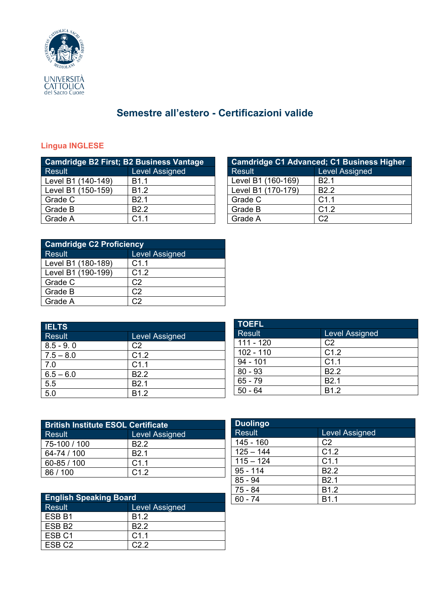

# **Semestre all'estero - Certificazioni valide**

### **Lingua INGLESE**

| <b>Camdridge B2 First; B2 Business Vantage</b> |                       |  |
|------------------------------------------------|-----------------------|--|
| <b>Result</b>                                  | <b>Level Assigned</b> |  |
| Level B1 (140-149)                             | <b>B1.1</b>           |  |
| Level B1 (150-159)                             | B <sub>1.2</sub>      |  |
| Grade C                                        | B <sub>2.1</sub>      |  |
| Grade B                                        | B <sub>2.2</sub>      |  |
| Grade A                                        | C1.1                  |  |

| <b>Camdridge C2 Proficiency</b> |                       |  |
|---------------------------------|-----------------------|--|
| <b>Result</b>                   | <b>Level Assigned</b> |  |
| Level B1 (180-189)              | C1.1                  |  |
| Level B1 (190-199)              | C1.2                  |  |
| Grade C                         | C2                    |  |
| Grade B                         | C2                    |  |
| Grade A                         |                       |  |

| <b>IELTS</b> |                       |
|--------------|-----------------------|
| Result       | <b>Level Assigned</b> |
| $8.5 - 9.0$  | C <sub>2</sub>        |
| $7.5 - 8.0$  | C1.2                  |
| 7.0          | C1.1                  |
| $6.5 - 6.0$  | B <sub>2.2</sub>      |
| 5.5          | B <sub>2.1</sub>      |
| 5.0          | B <sub>1.2</sub>      |

| <b>TOEFL</b>  |                       |
|---------------|-----------------------|
| <b>Result</b> | <b>Level Assigned</b> |
| $111 - 120$   | C <sub>2</sub>        |
| $102 - 110$   | C1.2                  |
| $94 - 101$    | C1.1                  |
| $80 - 93$     | B <sub>2.2</sub>      |
| $65 - 79$     | B <sub>2.1</sub>      |
| $50 - 64$     | B <sub>1.2</sub>      |

| <b>British Institute ESOL Certificate</b> |                       |  |
|-------------------------------------------|-----------------------|--|
| Result                                    | <b>Level Assigned</b> |  |
| 75-100 / 100                              | B <sub>2</sub> 2      |  |
| 64-74 / 100                               | B <sub>2.1</sub>      |  |
| 60-85 / 100                               | C1.1                  |  |
| 86/100                                    | C1.2                  |  |

|                               |                  | 1 U U T   |     |
|-------------------------------|------------------|-----------|-----|
| <b>English Speaking Board</b> |                  | $60 - 74$ | 1.1 |
| Result                        | Level Assigned   |           |     |
| ESB <sub>B1</sub>             | B <sub>1.2</sub> |           |     |
| ESB <sub>B2</sub>             | B <sub>2.2</sub> |           |     |
| ESB <sub>C1</sub>             | C1.1             |           |     |
| ESB <sub>C2</sub>             | C2.2             |           |     |

| <b>Duolingo</b> |                       |  |
|-----------------|-----------------------|--|
| <b>Result</b>   | <b>Level Assigned</b> |  |
| $145 - 160$     | C <sub>2</sub>        |  |
| $125 - 144$     | C1.2                  |  |
| $115 - 124$     | C <sub>1.1</sub>      |  |
| $95 - 114$      | B <sub>2.2</sub>      |  |
| $85 - 94$       | B <sub>2.1</sub>      |  |
| $75 - 84$       | B <sub>1.2</sub>      |  |
| $60 - 74$       | R1 1                  |  |

| <b>Camdridge C1 Advanced; C1 Business Higher</b> |                       |  |
|--------------------------------------------------|-----------------------|--|
| <b>Result</b>                                    | <b>Level Assigned</b> |  |
| Level B1 (160-169)                               | B <sub>2.1</sub>      |  |
| Level B1 (170-179)                               | B <sub>2.2</sub>      |  |
| Grade C                                          | C <sub>1.1</sub>      |  |
| Grade B                                          | C1.2                  |  |
| Grade A                                          | C <sub>2</sub>        |  |